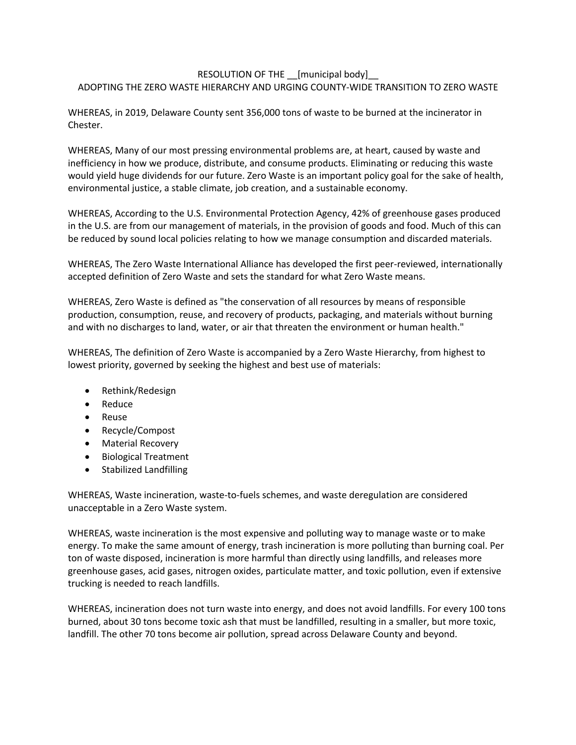## RESOLUTION OF THE [municipal body] ADOPTING THE ZERO WASTE HIERARCHY AND URGING COUNTY-WIDE TRANSITION TO ZERO WASTE

WHEREAS, in 2019, Delaware County sent 356,000 tons of waste to be burned at the incinerator in Chester.

WHEREAS, Many of our most pressing environmental problems are, at heart, caused by waste and inefficiency in how we produce, distribute, and consume products. Eliminating or reducing this waste would yield huge dividends for our future. Zero Waste is an important policy goal for the sake of health, environmental justice, a stable climate, job creation, and a sustainable economy.

WHEREAS, According to the U.S. Environmental Protection Agency, 42% of greenhouse gases produced in the U.S. are from our management of materials, in the provision of goods and food. Much of this can be reduced by sound local policies relating to how we manage consumption and discarded materials.

WHEREAS, The Zero Waste International Alliance has developed the first peer-reviewed, internationally accepted definition of Zero Waste and sets the standard for what Zero Waste means.

WHEREAS, Zero Waste is defined as "the conservation of all resources by means of responsible production, consumption, reuse, and recovery of products, packaging, and materials without burning and with no discharges to land, water, or air that threaten the environment or human health."

WHEREAS, The definition of Zero Waste is accompanied by a Zero Waste Hierarchy, from highest to lowest priority, governed by seeking the highest and best use of materials:

- Rethink/Redesign
- Reduce
- Reuse
- Recycle/Compost
- Material Recovery
- Biological Treatment
- Stabilized Landfilling

WHEREAS, Waste incineration, waste-to-fuels schemes, and waste deregulation are considered unacceptable in a Zero Waste system.

WHEREAS, waste incineration is the most expensive and polluting way to manage waste or to make energy. To make the same amount of energy, trash incineration is more polluting than burning coal. Per ton of waste disposed, incineration is more harmful than directly using landfills, and releases more greenhouse gases, acid gases, nitrogen oxides, particulate matter, and toxic pollution, even if extensive trucking is needed to reach landfills.

WHEREAS, incineration does not turn waste into energy, and does not avoid landfills. For every 100 tons burned, about 30 tons become toxic ash that must be landfilled, resulting in a smaller, but more toxic, landfill. The other 70 tons become air pollution, spread across Delaware County and beyond.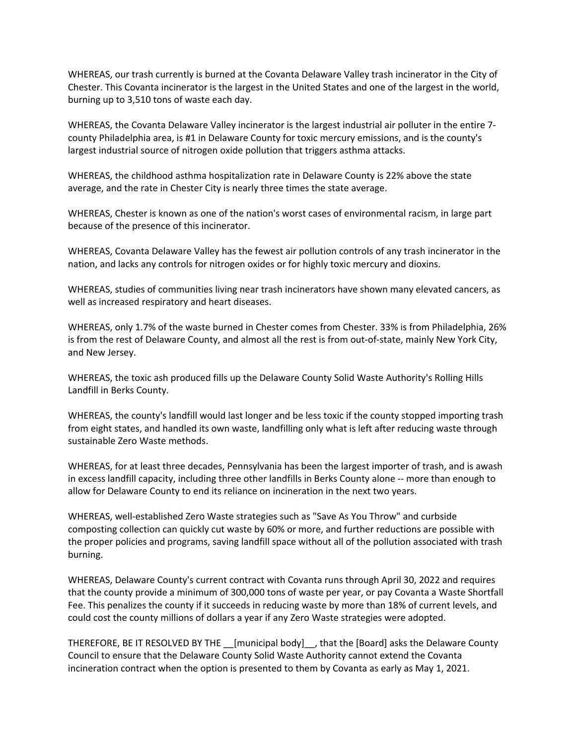WHEREAS, our trash currently is burned at the Covanta Delaware Valley trash incinerator in the City of Chester. This Covanta incinerator is the largest in the United States and one of the largest in the world, burning up to 3,510 tons of waste each day.

WHEREAS, the Covanta Delaware Valley incinerator is the largest industrial air polluter in the entire 7 county Philadelphia area, is #1 in Delaware County for toxic mercury emissions, and is the county's largest industrial source of nitrogen oxide pollution that triggers asthma attacks.

WHEREAS, the childhood asthma hospitalization rate in Delaware County is 22% above the state average, and the rate in Chester City is nearly three times the state average.

WHEREAS, Chester is known as one of the nation's worst cases of environmental racism, in large part because of the presence of this incinerator.

WHEREAS, Covanta Delaware Valley has the fewest air pollution controls of any trash incinerator in the nation, and lacks any controls for nitrogen oxides or for highly toxic mercury and dioxins.

WHEREAS, studies of communities living near trash incinerators have shown many elevated cancers, as well as increased respiratory and heart diseases.

WHEREAS, only 1.7% of the waste burned in Chester comes from Chester. 33% is from Philadelphia, 26% is from the rest of Delaware County, and almost all the rest is from out-of-state, mainly New York City, and New Jersey.

WHEREAS, the toxic ash produced fills up the Delaware County Solid Waste Authority's Rolling Hills Landfill in Berks County.

WHEREAS, the county's landfill would last longer and be less toxic if the county stopped importing trash from eight states, and handled its own waste, landfilling only what is left after reducing waste through sustainable Zero Waste methods.

WHEREAS, for at least three decades, Pennsylvania has been the largest importer of trash, and is awash in excess landfill capacity, including three other landfills in Berks County alone -- more than enough to allow for Delaware County to end its reliance on incineration in the next two years.

WHEREAS, well-established Zero Waste strategies such as "Save As You Throw" and curbside composting collection can quickly cut waste by 60% or more, and further reductions are possible with the proper policies and programs, saving landfill space without all of the pollution associated with trash burning.

WHEREAS, Delaware County's current contract with Covanta runs through April 30, 2022 and requires that the county provide a minimum of 300,000 tons of waste per year, or pay Covanta a Waste Shortfall Fee. This penalizes the county if it succeeds in reducing waste by more than 18% of current levels, and could cost the county millions of dollars a year if any Zero Waste strategies were adopted.

THEREFORE, BE IT RESOLVED BY THE [municipal body], that the [Board] asks the Delaware County Council to ensure that the Delaware County Solid Waste Authority cannot extend the Covanta incineration contract when the option is presented to them by Covanta as early as May 1, 2021.